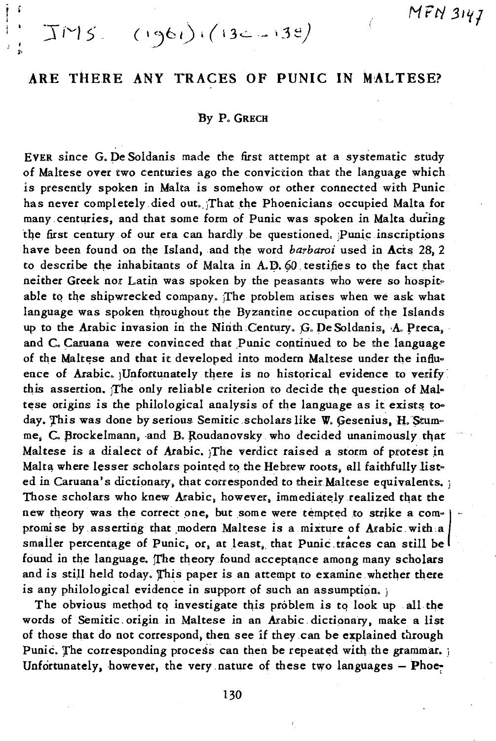# ARE THERE ANY TRACES OF PUNIC IN MALTESE?

 $TMS = (1961)(132 - 138)$ 

### By P. GRECH

EVER since G. De Soldanis made the first attempt at a systematic study of Maltese over two centuries ago the conviction that the language which is presently spoken in Malta is somehow or other connected with Punic has never completely died out. That the Phoenicians occupied Malta for many centuries, and that some form of Punic was spoken in Malta during the first century of our era can hardly be questioned. Punic inscriptions have been found on the Island, and the word barbaroi used in Acts 28, 2 to describe the inhabitants of Malta in A.D. 60 testifies to the fact that neither Greek nor Latin was spoken by the peasants who were so hospitable to the shipwrecked company. The problem arises when we ask what language was spoken throughout the Byzantine occupation of the Islands up to the Arabic invasion in the Ninth Century, G. De Soldanis, A. Preca, and C. Caruana were convinced that Punic continued to be the language of the Maltese and that it developed into modern Maltese under the influence of Arabic. Unfortunately there is no historical evidence to verify this assertion. The only reliable criterion to decide the question of Maltese origins is the philological analysis of the language as it exists today. This was done by serious Semitic scholars like W. Gesenius, H. Stumme, C. Brockelmann, and B. Roudanovsky who decided unanimously that Maltese is a dialect of Arabic, The verdict raised a storm of protest in Malta where lesser scholars pointed to the Hebrew roots, all faithfully listed in Caruana's dictionary, that corresponded to their Maltese equivalents. ; Those scholars who knew Arabic, however, immediately realized that the new theory was the correct one, but some were tempted to strike a compromise by asserting that modern Maltese is a mixture of Arabic with a smaller percentage of Punic, or, at least, that Punic traces can still be found in the language. The theory found acceptance among many scholars and is still held today. This paper is an attempt to examine whether there is any philological evidence in support of such an assumption.

The obvious method to investigate this problem is to look up all the words of Semitic origin in Maltese in an Arabic dictionary, make a list of those that do not correspond, then see if they can be explained through Punic. The corresponding process can then be repeated with the grammar. Unfortunately, however, the very nature of these two languages - Phoe-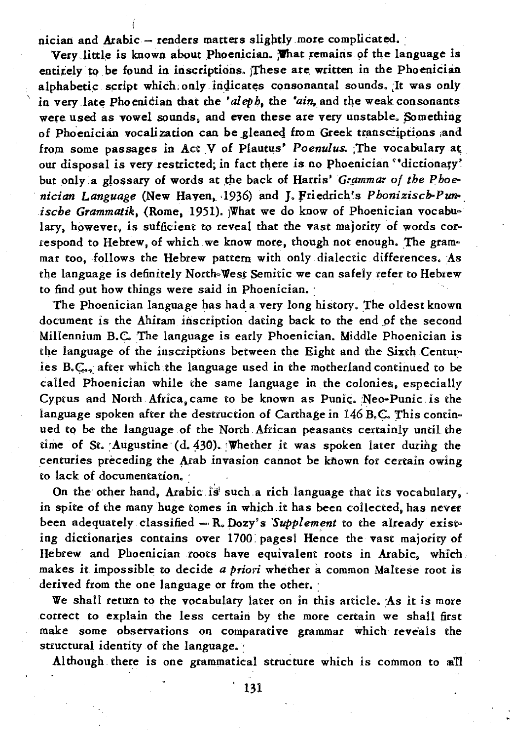nician and Arabic - renders matters slightly more complicated.

Very little is known about Phoenician. What remains of the language is entirely to be found in inscriptions. These are written in the Phoenician alphabetic script which only indicates consonantal sounds. It was only in very late Phoenician that the 'aleph, the 'ain, and the weak consonants were used as vowel sounds, and even these are very unstable. Something of Phoenician vocalization can be gleaned from Greek transcriptions and from some passages in Act V of Plautus' Poenulus. The vocabulary at our disposal is very restricted; in fact there is no Phoenician "dictionary' but only a glossary of words at the back of Harris' Grammar of the Phoenician Language (New Haven, 1936) and J. Friedrich's Phonizisch-Punische Grammatik, (Rome, 1951). What we do know of Phoenician vocabulary, however, is sufficient to reveal that the vast majority of words correspond to Hebrew, of which we know more, though not enough. The grammar too, follows the Hebrew pattern with only dialectic differences. As the language is definitely North-West Semitic we can safely refer to Hebrew to find out how things were said in Phoenician.

The Phoenician language has had a very long history. The oldest known document is the Ahiram inscription dating back to the end of the second Millennium B.C. The language is early Phoenician. Middle Phoenician is the language of the inscriptions between the Eight and the Sixth Centuries B.C., after which the language used in the motherland continued to be called Phoenician while the same language in the colonies, especially Cyprus and North Africa, came to be known as Punic. Neo-Punic is the language spoken after the destruction of Carthage in 146 B.C. This continued to be the language of the North African peasants certainly until the time of St. Augustine (d. 430). Whether it was spoken later during the centuries preceding the Arab invasion cannot be known for certain owing to lack of documentation.

On the other hand, Arabic is such a rich language that its vocabulary, in spite of the many huge tomes in which it has been collected, has never been adequately classified - R. Dozy's Supplement to the already existing dictionaries contains over 1700 pages! Hence the vast majority of Hebrew and Phoenician roots have equivalent roots in Arabic, which makes it impossible to decide a priori whether a common Maltese root is derived from the one language or from the other.

We shall return to the vocabulary later on in this article. As it is more correct to explain the less certain by the more certain we shall first make some observations on comparative grammar which reveals the structural identity of the language.

Although there is one grammatical structure which is common to all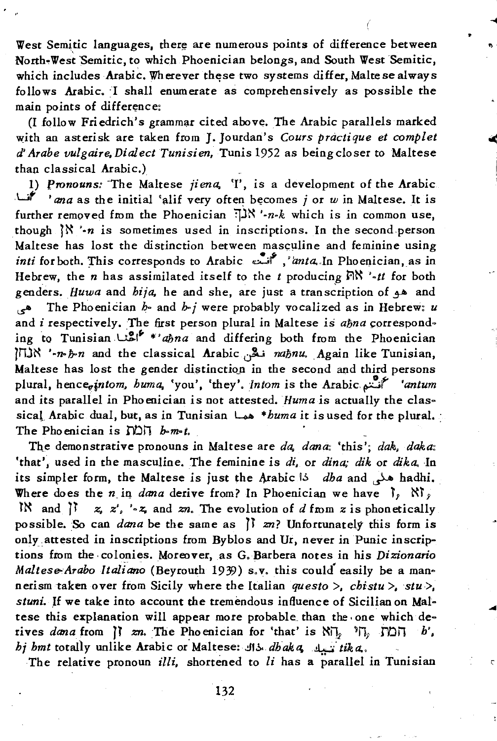West Semitic languages, there are numerous points of difference between North-West Semitic, to which Phoenician belongs, and South West Semitic, which includes Arabic. Wherever these two systems differ, Malte se always follows Arabic. I shall enumerate as comprehensively as possible the main points of difference:

(I follow Friedrich's grammar cited above. The Arabic parallels marked with an asterisk are taken from J. Jourdan's *Cours practique et complet d' Arabe vulgaire,Dialect Tunisien,* Tunis 1952 as beingcloser to Maltese than classical Arabic.)

l) *pronouns:* -The Maltese *jiena.* 'I', is a development of the Arabic .wf' *'ana* as the initial 'alif very ofte~ b~comes *j* or *w* in Maltese. It is further removed from the Phoenician  $\exists N' \cdot n \cdot k$  which is in common use, though  $\{X \cdot n$  is sometimes used in inscriptions. In the second person Maltese has lost the distinction between masculine and feminine using *inti* for both. This corresponds to Arabic ';:'f " *i.znta...ln* PhoeQician,as in Hebrew, the *n* has assimilated itself to the  $t$  producing  $\mathbb{R}^N \cdot \cdot \cdot t$  for both genders. *Huwa* and *hija.* he and she, are just a trans~ription of ~ and ~ The Phoenician *h·* and *b-j* were probably vocalized as in Hebrew: *u*  and *i* respectively. The first person plural in Maltese is *ahna* corresponding to Tunisian  $u^{s,*}$  \*' ahna and differing both from the Phoenician ln. '-n-ħ-n and the classical Arabic نَكْس naħnu. Again like Tunisian, Maltese has lost the gender distinction in the second and third persons plural, *hencc;,jntom. huma.* 'you', 'they'. *Intom is* the Arabic. pf *'antum*  and its parallel in Phoenician is not attested. *Huma is* actually the classical Arabic dual, but, as in Tunisian ~ *\*huma* it is used for the plural. : The Phoenician is  $\text{ND} \Pi$  *b-m-t.* 

The demonstrative pronouns in Maltese are *da, dana*: 'this'; *dak, daka*: 'that', used in the masculine. The feminine is *di*, or *dina; dik* or *dika*. In its simpler form, the Maltese is just the 1\.rabic i.:. *dha* and ~ hadhi. Where does the *n*<sub>in</sub> *dana* derive from? In Phoenician we have  $\left| \cdot \right|$ ,  $N\left| \cdot \right|$ , lt' and  $\begin{bmatrix} 1 \\ x_i \end{bmatrix}$  *z*,  $z'$ , '-z, and  $zn$ . The evolution of *d* from *z* is phonetically possible. So can *dana* be the same as  $\int$  *zn?* Unfortunately this form is only attested in inscriptions from Byblos and Ur, never in Punic inscriptions from the· colonies. Moreover, as G.Barbera notes in his *Dizionario*  Maltese-Arabo *Italiano* (Beyrouth 1939) s.v. this could easily be a mannerism taken over from Sicily where the Italian *questo >, chistu >, stu >,* stuni. If we take into account the tremendous influence of Sicilian on Maltese this explanation will appear more probable\_ than the. one which derives *dana* from  $\begin{bmatrix} 1 & \text{zn.} \end{bmatrix}$  The Phoenician for 'that' is  $N\begin{bmatrix} 1 & \text{p} \end{bmatrix}$ ,  $\begin{bmatrix} 1 & \text{p} \end{bmatrix}$ ,  $h'$ , *hj hmt* totally unlike Arabic or"Maltese: *.!11.::..dhakCl".!.l...:a· tika...* 

The relative pronoun *illi*, shortened to *li* has a parallel in Tunisian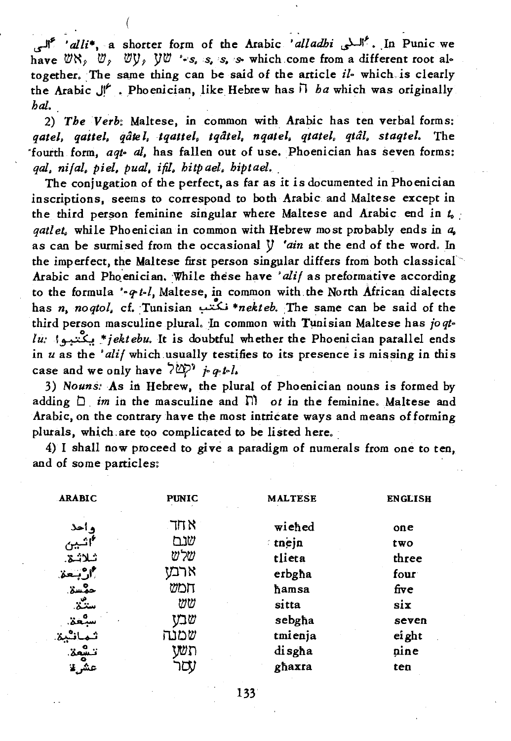~ *'alli.,* a shorter form of the A.rabic *'alladhi* ~I' • .In Punic we have  $\mathbb{W}\times$ ,  $\mathbb{W}$ ,  $\mathbb{W}/\mathbb{W}$  '.'s, is, is, which come from a different root altogether. :The same thing can be said of the article *il·* which *is* clearly the A.rabic *J!J-* • Phoenician, like Hebrew has il *ha* which was originally h~ *,* 

2) *The Verb:* Maltese, in common with. Arabic has ten verbal forms: *qatel. qaitel. qale l, tqattel. tqatel. nqatel. qtatel. qtal. staqtel.* The 'fourth form, *aqt-* al, has fallen out of use. Phoenidan has seven forms: *qal, ni/al, piel, pual, ifil, hitp ael, hiptael.* 

The conjugation of the perfect, as far as it is documented in Phoenician inscriptions, seems to correspond to both Arabic and Maltese except in the third person feminine singular where Maltese and Arabic end in  $t_0$ *qatlet.* while Phoenician in common with Hebrew most probably ends in *a.*  as can be surmised from the occasional *Y 'ain* at the end of the word. In the imperfect, the Maltese first person singular differs from both classical Arabic and Phoenician. While these have 'alif as preformative according to the formula *··q-t.l,* Maltese, in common with. the North African dialects has *n. noqtol,* cf. :Tunisian ~ *·nekteb.* ,The same can be said of the third person masculine plural. In common with Tunisian Maltese has *joqtlu:* I~\*jektebu. It is doubtful whether the Phoenician parallel ends in *u* as the '*ali* / which usually testifies to its presence is missing in this case and we only have  $\frac{1}{2}$   $\sum_{i=1}^{n}$  *j*. *q. t. l.* 

3) *Nouns:As* in Hebrew, the plural of phoenician nouns is formed by adding  $\Box$  *im* in the masculine and  $\Box$  *ot* in the feminine. Maltese and Arabic, on the contrary have the most intricate ways and means of forming plurals, which are too complicated to be listed here.

4) I shall now proceed to give a paradigm of numerals from one to ten, and of some particles: '

| <b>ARABIC</b>       | <b>PUNIC</b> | <b>MALTESE</b> | <b>ENGLISH</b> |
|---------------------|--------------|----------------|----------------|
| واحد                | א חד         | wiched         | one            |
| *اثسبين             | שנם          | tnejn          | two            |
| ثلاثة.              | שלש          | tlieta         | three          |
| <sup>†</sup> ارٌبعة | ארמז         | erbgha         | four           |
| حمسة.               | חמש          | hamsa          | five           |
| ستنٽن.              | ₩W           | sitta          | six            |
| سبٌعة.              | שבט          | sebgha         | seven          |
| افتية               | שמנה         | tmienja        | ei ght         |
| تشمة.               | wn           | disgha         | nine           |
| عشرتنا              | iŲ,          | ghaxra         | ten            |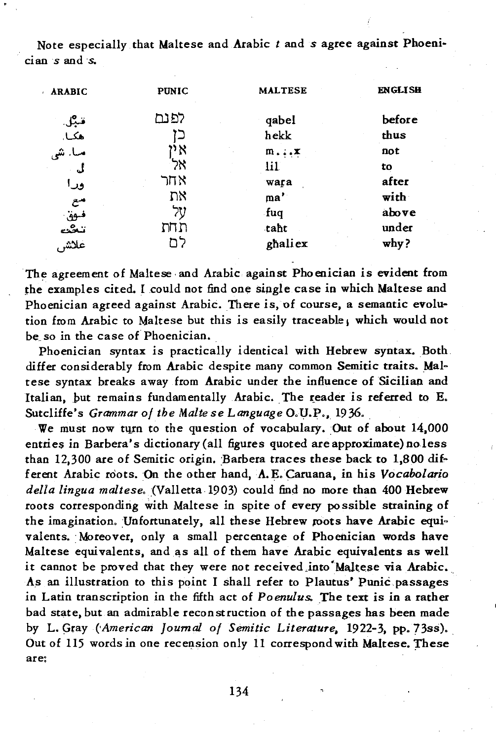Note especially that Maltese and Arabic t and s agree against Phoenician s and s.

| <b>ARABIC</b> | <b>PUNIC</b> | <b>MALTESE</b>            | <b>ENGLISH</b> |
|---------------|--------------|---------------------------|----------------|
|               | לפנם         | qabel                     | before         |
| قبل.<br>هکيا. | دا           | hekk                      | thus           |
| ما. شى        | אי           | $\mathbf{m}$ $\mathbf{x}$ | not            |
| ئى            | ንአ           | lil                       | tο             |
| ورا           | אחר          | wara                      | after          |
| مع            | את           | $\mathbf{ma}^{\prime}$    | with           |
| فوق           | על           | fuq.                      | above          |
| تنكث          | תחת          | taht                      | under          |
| علاش          | לח           | ghaliex                   | why?           |

The agreement of Maltese and Arabic against Phoenician is evident from the examples cited. I could not find one single case in which Maltese and Phoenician agreed against Arabic. There is, of course, a semantic evolution from Arabic to Maltese but this is easily traceable, which would not be so in the case of Phoenician.

Phoenician syntax is practically identical with Hebrew syntax. Both differ considerably from Arabic despite many common Semitic traits. Maltese syntax breaks away from Arabic under the influence of Sicilian and Italian, but remains fundamentally Arabic. The reader is referred to E. Sutcliffe's Grammar of the Malte se Language O.U.P., 1936.

We must now turn to the question of vocabulary. Out of about 14,000 entries in Barbera's dictionary (all figures quoted are approximate) no less than 12,300 are of Semitic origin. Barbera traces these back to 1,800 different Arabic roots. On the other hand, A.E. Caruana, in his Vocabolario della lingua maltese, (Valletta 1903) could find no more than 400 Hebrew roots corresponding with Maltese in spite of every possible straining of the imagination, Unfortunately, all these Hebrew roots have Arabic equivalents. Moreover, only a small percentage of Phoenician words have Maltese equivalents, and as all of them have Arabic equivalents as well it cannot be proved that they were not received into Maltese via Arabic. As an illustration to this point I shall refer to Plautus' Punic passages in Latin transcription in the fifth act of Poenulus. The text is in a rather bad state, but an admirable reconstruction of the passages has been made by L. Gray (American Journal of Semitic Literature, 1922-3, pp. 73ss). Out of 115 words in one recension only 11 correspond with Maltese. These are: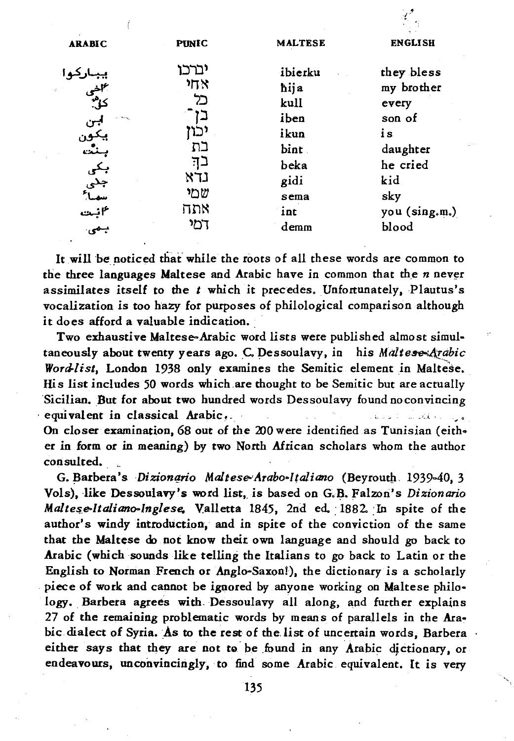|                                                                 |                                                |                                                                 | man and                                                                          |
|-----------------------------------------------------------------|------------------------------------------------|-----------------------------------------------------------------|----------------------------------------------------------------------------------|
| <b>ARABIC</b>                                                   | <b>PUNIC</b>                                   | <b>MALTESE</b>                                                  | <b>ENGLISH</b>                                                                   |
| ۰۰۰<br>کاشی<br>کال:<br>بن<br>يکور<br>بنٿ<br>بکی<br>جنی<br>سماءً | ינרכו<br>গ্যম<br>כל<br>יכוז<br>בת<br>בד<br>נדא | ibierku<br>hija<br>kull<br>iben<br>ikun<br>bint<br>beka<br>gidi | they bless<br>my brother<br>every<br>son of<br>is<br>daughter<br>he cried<br>kid |
|                                                                 | שמי                                            | sema                                                            | sky                                                                              |
|                                                                 | אתה                                            | int                                                             | you (sing.m.)                                                                    |
| ۴نیت<br>بیمی                                                    | דמי                                            | demm                                                            | blood                                                                            |
|                                                                 |                                                |                                                                 |                                                                                  |

 $\ell^{\ell}$ 

It will be noticed that while the roots of all these words are common to the three languages Maltese and Arabic have in common that the *n* never assimilates itself to the *t* which *it* precedes. Unfortunately.Plautus's vocalization *is* too ħazy for purposes of philological comparison although it does afford a valuable indication.

Two exhaustive Maltese-Arabic word lists were published almost simultaneously about twenty years ago. C. Dessoulavy, in his Maltese-Arabic Wordlist, London 1938 only examines the Semitic element in Maltese. *His* list inc1udes 50 words which.are thought to be Semitic but are actuaUy Sicilian. But for about two hundred words Dessoulavy found noconvincing . equivalent in c1assical Arabic~. . .'." \_. On closer examination, 68 out of the 200 were identified as Tunisian (either in form or in meaning) by two North African scholars whom the author consulted.

G. Barbera's Dizionario Maltese-Arabo-lțaliano (Beyrouth, 1939-40, 3 Vols), like Dessoulavy's word list, is based on G.B. Falzon's *Dizionario* Maltese-Italiano-Inglese. Valletta 1845, 2nd ed. 1882. In spite of the author's windy introduction, and in spite of the conviction of the same that the Maltese do not know thelt own language and should go back to Arabic (which sounds like tellinġ the Italians to go back to Latin or the English to Norman French or Anglo-Saxon!). the dictionary is a scholarly piece of work and cannot be ignored by anyone working on Maltese philology. Barbera agrees with Dessoulavy all along, and further explains 27 of the remaining problematic words by means of parallels in the Arabic dialect of Syria. As to the rest of the list of uncertain words, Barbera either says that they are not to be found in any Arabic dictionary, or endeavours, unconvincingly, to find some Arabic equivalent. lt is very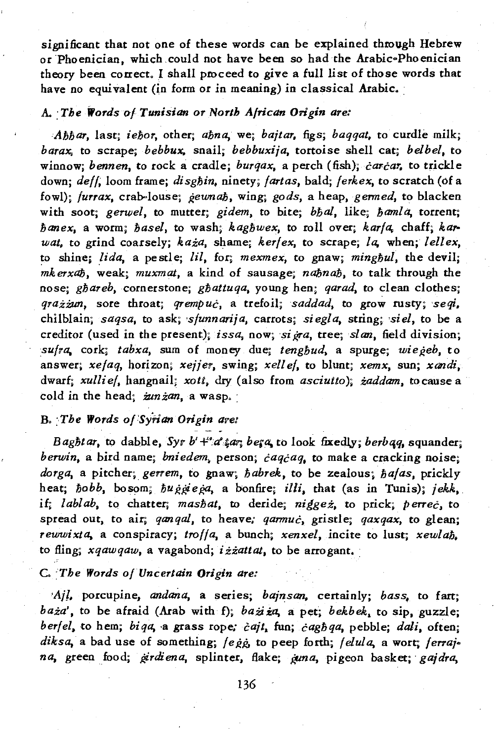significant that not one of these words can be explained through Hebrew or Phoenician, which could not have been so had the Arabic-Phoenician theory been correct. I shall proceed to give a full list of those words that have no equivalent (in form or in meaning) in classical Arabic.

## A. : *The Words (FI Tunisian* 01' *North African Origin are:*

*Ahbar,* last; ieħor, other; aħna, we; *bajtar,* figs; *baqqat,* to curdle milk; *barax*, to scrape; *bebbux*, snail; *bebbuxija*, tortoise shell cat; *belbel*, to winnow; *bennen*, to rock a cradle; *burqax*, a perch (fish); *carcar*, to trickle down; *deff*, loom frame; disghin, ninety; *fartas*, bald; *ferkex*, to scratch (of a fowl); *furrax*, crab-louse; *geunah*, wing; *gods*, a *heap*, *germed*, to blacken with soot; *gerwel*, to mutter; *gidem*, to bite; *bhal*, like; *hanla*, torrent; ħanex, a worm; ħasel, to wash; kagħwex, to roll over; *karfa,* chaff; *ka,. wat, to grind coarsely; każa, shame; kerfex, to scrape; la, when; lellex,* ~o shine; *li da,* a pestle; *lil,* for; *mexmex,* to gnaw; mingħul, the devil; mkerxaħ, weak; *muxmat,* a kind of sausage; naħnaħ, to talk through the nose; ghareb, cornerstone; ghattuqa, young hen; *qarad*, to clean clothes; qrażżun, sore throat; qrempuċ, a *trefoil;saddad,* to gro~ rusty; *'seqi.,*  chilblain; *saqsa,* to ask; *'sfunnarija,* carrots; *siegla,* string; *'siel,* to be a creditor (used in the present); *issa*, now; *sigra*, tree; *slan*, field division; *sufra*, cork; *tabxa*, sum of money due; *tenghud*, a spurge; *wiegeb*, to answer; *xefaq,* horizon; *xejjer,* swing; *xelf ef,* to blunt; *xemx.* sun; *xandi,*  dwarf; *xullief.* hangnail; *xoti,* dry (also from *asciutto);* żaddam, tocause a cold in the head; zunzan, a wasp.

# B. *:The Words o(Syfian Origin are:*

Baghtar, to dabble, Syr b'+"a";ar; bera, to look fixedly; *berbag*, squander; *berwin,* a bird name; *bniedem,* person; ċaqċaq, to make a cracking noise; *dorga,* a pitcher; *gerrem,* to gnaw, ħabrek, to be zealous; *hafas,* prickly heat; *hobb*, bosom; *huggiega*, a bonfire; *illi*, that (as in Tunis); jekk, H; *lablab,* to chatter; *mashat,* to deride; niġgeż, to prick; perreċ. to spread out, to air; *qanqal*, to heave: *qarmuc*, gristle; *qaxqax*, to glean; *rewwixta,* a conspiracy; *troffa,* a bunch; *xenxel,* incite to lust; xewlaħ. to fling; *xqawqaw*, a vagabond; izzattat, to be arrogant.

#### C. *:The Words ofUncertain Origin are:*

'Ajl, porcupine, andana, a series; *bajnsan*, certainly; *bass*, to fart; baża', to be afraid (Arab with f); *bażi ża*, a pet; *bekbek*, to sip, guzzle; *berfel*, to hem; *biqa*, a grass rope; *čajt*, fun; *čagbqa*, pebble; *dali*, often; diksa, a bad use of something; *fegg*, to peep forth; *felula*, a wort; *ferraj*<sup>。</sup> *na*, green food; *ģirdiena*, splinter, flake; *guna*, pigeon basket; *gajdra*,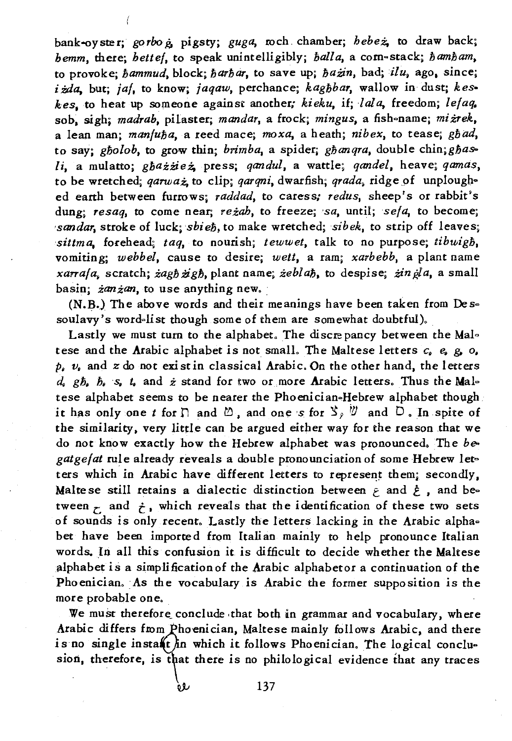bank-oyster; *gorbo*  $\dot{a}$ , pigsty; *guga*, *r*och. chamber; *hebeż*, to draw back; *hemm, there; bettef, to speak unintelligibly; <i>balla, a com-stack; <i>bambam,* to provokej *bammud,* block; *barbar,* to save up; ħażin, *badjilu,* ago. since; izda, but; *jaf*, to know; *jaqaw*, perchance; *kaghbar*, wallow in dust; *keskes,* to heat up someone against another; *kieku,* Hi *lala,* freedom; *lefaq.*  sob, sigh; *madrab*, pilaster; *mandar*, a frock; *mingus*, a fish-name; miżrek, a lean man; manfuħa, a reed mace; *moxa,* a heath; *nibex,* to tease; *gbad,*  to say; gholob, to grow thin; *brimba*, a spider; ghangra, double chin; ghas*li,* a mulatto; gbażżież. press; *qandul,* a wattle; *qandel,* heave. *qamas,*  to be wretched; *qarwaz*, to clip; *qarqni*, dwarfish; *qrada*, ridge of unploughed eatth between furrows; *raddad,* to caress; *redus,* sheep's or rabbit's dung; *resaq,* to come near; reżah, to freeze; *'sa,* until; *sefa,* to become; *'sandar*, stroke of luck; *sbieh*, to make wretched; *sibek*, to strip off leaves; sittma, forehead; *taq*, to nourish; *tewwet*, talk to no purpose; *tibuigh*, vomiting; *webbel,* cause to desire; *wett,* a ram; *xarbebb,* a plant name *xarrafa*, scratch; żag*h* żigh, plant name; żeblah, to despise; żin ¿la, a small basin;  $\dot{z}$ an $\dot{z}$ an, to use anything new.

(N.B.) The above words and their meanings have been taken from  $De \simeq$ soulavy's word=list though some of them are somewhat doubtful).

Lastly we must turn to the alphabet. The discrepancy between the Maltese and the Arabic alphabet is not small. The Maltese letters c. e. g. *o.*   $p_i$ ,  $v_i$  and  $z$  do not exist in classical Arabic. On the other hand, the letters  $d_i$  gh,  $b_i$  s,  $t_i$  and  $\dot{z}$  stand for two or more **Arabic letters**. Thus the Maltese alphabet seems to be nearer the Phoenician-Hebrew alphabet though it has only one *t* for  $\cap$  and  $\emptyset$ , and one s for  $\Im$ ,  $\emptyset$  and  $\Box$ . In spite of the similarity, very little can be argued either way for the reason that we do not know exactly how the Hebrew alphabet was pronounced. The *be*gatgefat rule already reveals a double pronounciation of some Hebrew letters which in Arabic have different letters to represent them; secondly, Malte se still retains a dialectic distinction between  $\epsilon$  and  $\dot{\epsilon}$ , and between  $\tau$  and  $\dot{\tau}$ , which reveals that the identification of these two sets of sounds is only recent. Lastly the letters lacking in the Arabic alpha= bet have been imported from Italian mainly to help pronounce Italian words. In all this confusion it is difficult to decide whether the Maltese alphabet is a simplificationof the Arabic alphabetor a continuation of the Phoenician. As the vocabulary is Arabic the former supposition is the more probable one.

We must therefore conclude that both in grammar and vocabulary, where Arabic differs from Phoenician, Maltese mainly follows Arabic, and there is no single instant in which it follows Phoenician. The logical conclusion, therefore, is that there is no philological evidence that any traces

Q).J *137*